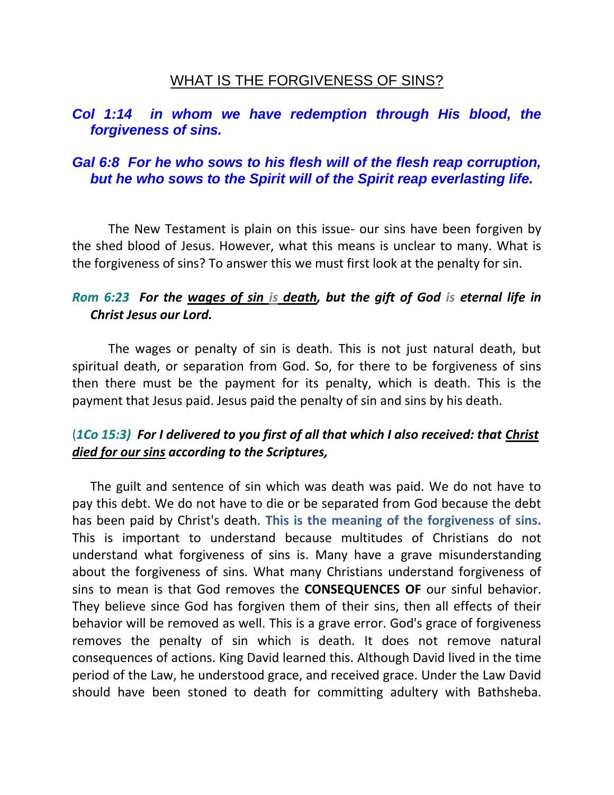# WHAT IS THE FORGIVENESS OF SINS?

# *Col 1:14 in whom we have redemption through His blood, the forgiveness of sins.*

# *Gal 6:8 For he who sows to his flesh will of the flesh reap corruption, but he who sows to the Spirit will of the Spirit reap everlasting life.*

The New Testament is plain on this issue- our sins have been forgiven by the shed blood of Jesus. However, what this means is unclear to many. What is the forgiveness of sins? To answer this we must first look at the penalty for sin.

# *Rom 6:23 For the wages of sin is death, but the gift of God is eternal life in Christ Jesus our Lord.*

The wages or penalty of sin is death. This is not just natural death, but spiritual death, or separation from God. So, for there to be forgiveness of sins then there must be the payment for its penalty, which is death. This is the payment that Jesus paid. Jesus paid the penalty of sin and sins by his death.

# (*1Co 15:3) For I delivered to you first of all that which I also received: that Christ died for our sins according to the Scriptures,*

The guilt and sentence of sin which was death was paid. We do not have to pay this debt. We do not have to die or be separated from God because the debt has been paid by Christ's death. **This is the meaning of the forgiveness of sins.** This is important to understand because multitudes of Christians do not understand what forgiveness of sins is. Many have a grave misunderstanding about the forgiveness of sins. What many Christians understand forgiveness of sins to mean is that God removes the **CONSEQUENCES OF** our sinful behavior. They believe since God has forgiven them of their sins, then all effects of their behavior will be removed as well. This is a grave error. God's grace of forgiveness removes the penalty of sin which is death. It does not remove natural consequences of actions. King David learned this. Although David lived in the time period of the Law, he understood grace, and received grace. Under the Law David should have been stoned to death for committing adultery with Bathsheba.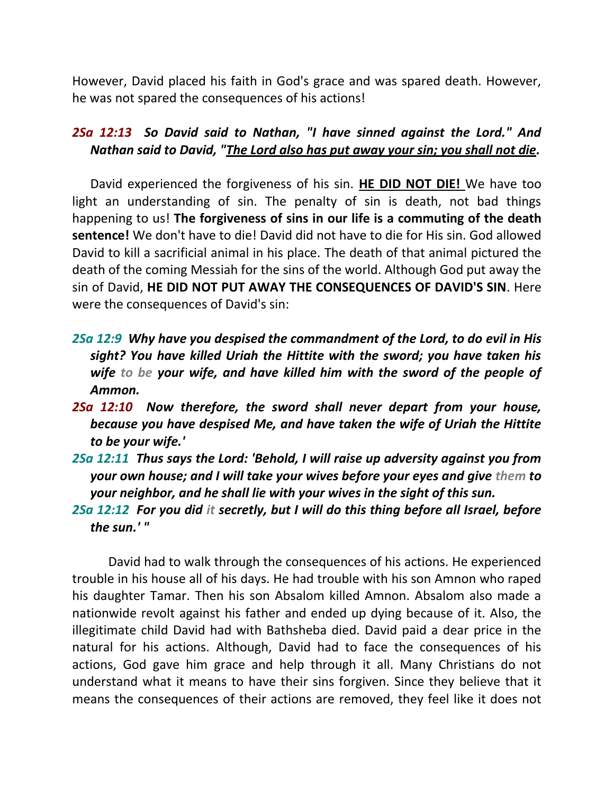However, David placed his faith in God's grace and was spared death. However, he was not spared the consequences of his actions!

#### *2Sa 12:13 So David said to Nathan, "I have sinned against the Lord." And Nathan said to David, "The Lord also has put away your sin; you shall not die.*

David experienced the forgiveness of his sin. **HE DID NOT DIE!** We have too light an understanding of sin. The penalty of sin is death, not bad things happening to us! **The forgiveness of sins in our life is a commuting of the death sentence!** We don't have to die! David did not have to die for His sin. God allowed David to kill a sacrificial animal in his place. The death of that animal pictured the death of the coming Messiah for the sins of the world. Although God put away the sin of David, **HE DID NOT PUT AWAY THE CONSEQUENCES OF DAVID'S SIN**. Here were the consequences of David's sin:

- *2Sa 12:9 Why have you despised the commandment of the Lord, to do evil in His sight? You have killed Uriah the Hittite with the sword; you have taken his wife to be your wife, and have killed him with the sword of the people of Ammon.*
- *2Sa 12:10 Now therefore, the sword shall never depart from your house, because you have despised Me, and have taken the wife of Uriah the Hittite to be your wife.'*
- *2Sa 12:11 Thus says the Lord: 'Behold, I will raise up adversity against you from your own house; and I will take your wives before your eyes and give them to your neighbor, and he shall lie with your wives in the sight of this sun.*
- *2Sa 12:12 For you did it secretly, but I will do this thing before all Israel, before the sun.' "*

David had to walk through the consequences of his actions. He experienced trouble in his house all of his days. He had trouble with his son Amnon who raped his daughter Tamar. Then his son Absalom killed Amnon. Absalom also made a nationwide revolt against his father and ended up dying because of it. Also, the illegitimate child David had with Bathsheba died. David paid a dear price in the natural for his actions. Although, David had to face the consequences of his actions, God gave him grace and help through it all. Many Christians do not understand what it means to have their sins forgiven. Since they believe that it means the consequences of their actions are removed, they feel like it does not